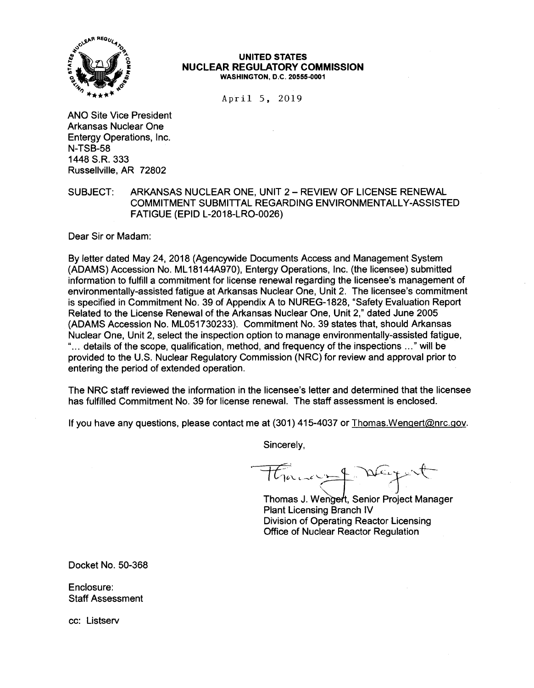

#### **UNITED STATES NUCLEAR REGULATORY COMMISSION WASHINGTON, D.C. 20555-0001**

April 5, 2019

ANO Site Vice President Arkansas Nuclear One Entergy Operations, Inc. N-TSB-58 1448 S.R. 333 Russellville, AR 72802

# SUBJECT: ARKANSAS NUCLEAR ONE, UNIT 2- REVIEW OF LICENSE RENEWAL COMMITMENT SUBMITTAL REGARDING ENVIRONMENTALLY-ASSISTED FATIGUE (EPID L-2018-LR0-0026)

Dear Sir or Madam:

By letter dated May 24, 2018 (Agencywide Documents Access and Management System (ADAMS) Accession No. ML 18144A970), Entergy Operations, Inc. (the licensee) submitted information to fulfill a commitment for license renewal regarding the licensee's management of environmentally-assisted fatigue at Arkansas Nuclear One, Unit 2. The licensee's commitment is specified in Commitment No. 39 of Appendix A to NUREG-1828, "Safety Evaluation Report Related to the License Renewal of the Arkansas Nuclear One, Unit 2," dated June 2005 (ADAMS Accession No. ML051730233). Commitment No. 39 states that, should Arkansas Nuclear One, Unit 2, select the inspection option to manage environmentally-assisted fatigue, " ... details of the scope, qualification, method, and frequency of the inspections ... " will be provided to the U.S. Nuclear Regulatory Commission (NRC) for review and approval prior to entering the period of extended operation.

The NRC staff reviewed the information in the licensee's letter and determined that the licensee has fulfilled Commitment No. 39 for license renewal. The staff assessment is enclosed.

If you have any questions, please contact me at (301) 415-4037 or Thomas.Wengert@nrc.gov.

Sincerely,

 $\overrightarrow{f}$  **a**  $\gamma$ *c.*..+ Town of Deyout

Thomas J. Wengert, Senior Project Manager Plant Licensing Branch IV Division of Operating Reactor Licensing Office of Nuclear Reactor Regulation

Docket No. 50-368

Enclosure: Staff Assessment

cc: Listserv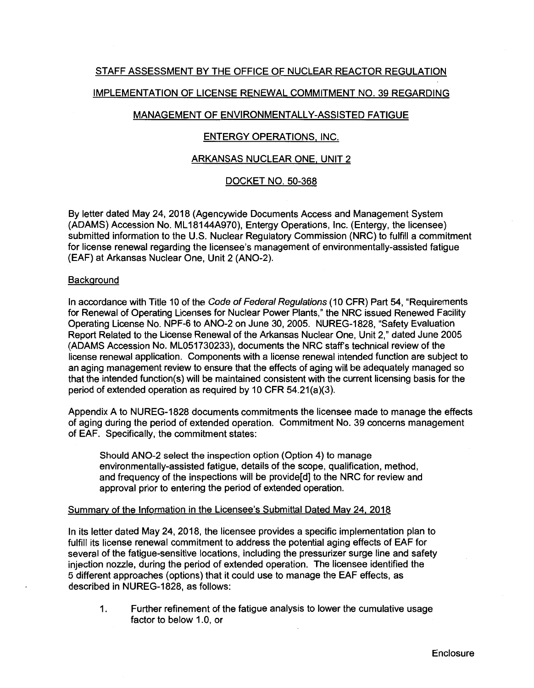# STAFF ASSESSMENT BY THE OFFICE OF NUCLEAR REACTOR REGULATION

## IMPLEMENTATION OF LICENSE RENEWAL COMMITMENT NO. 39 REGARDING

# MANAGEMENT OF ENVIRONMENTALLY-ASSISTED FATIGUE

### ENTERGY OPERATIONS, INC.

### ARKANSAS NUCLEAR ONE, UNIT 2

### DOCKET NO. 50-368

By letter dated May 24, 2018 (Agencywide Documents Access and Management System (ADAMS) Accession No. ML 18144A970), Entergy Operations, Inc. (Entergy, the licensee) submitted information to the U.S. Nuclear Regulatory Commission (NRC) to fulfill a commitment for license renewal regarding the licensee's management of environmentally-assisted fatigue (EAF) at Arkansas Nuclear One, Unit 2 (AN0-2).

### **Background**

In accordance with Title 10 of the Code of Federal Regulations (10 CFR) Part 54, "Requirements for Renewal of Operating Licenses for Nuclear Power Plants," the NRC issued Renewed Facility Operating License No. NPF-6 to AN0-2 on June 30, 2005. NUREG-1828, "Safety Evaluation Report Related to the License Renewal of the Arkansas Nuclear One, Unit 2," dated June 2005 (ADAMS Accession No. ML051730233), documents the NRC staff's technical review of the license renewal application. Components with a license renewal intended function are subject to an aging management review to ensure that the effects of aging will be adequately managed so that the intended function(s) will be maintained consistent with the current licensing basis for the period of extended operation as required by 10 CFR 54.21(a)(3).

Appendix A to NUREG-1828 documents commitments the licensee made to manage the effects of aging during the period of extended operation. Commitment No. 39 concerns management of EAF. Specifically, the commitment states:

Should **AN0-2** select the inspection option (Option 4) to manage environmentally-assisted fatigue, details of the scope, qualification, method, and frequency of the inspections will be provide[d] to the NRC for review and approval prior to entering the period of extended operation.

#### Summary of the Information in the Licensee's Submittal Dated May 24, 2018

In its letter dated May 24, 2018, the licensee provides a specific implementation plan to fulfill its license renewal commitment to address the potential aging effects of EAF for several of the fatigue-sensitive locations, including the pressurizer surge line and safety injection nozzle, during the period of extended operation. The licensee identified the 5 different approaches (options) that it could use to manage the EAF effects, as described in NUREG-1828, as follows:

1. Further refinement of the fatigue analysis to lower the cumulative usage factor to below 1.0, or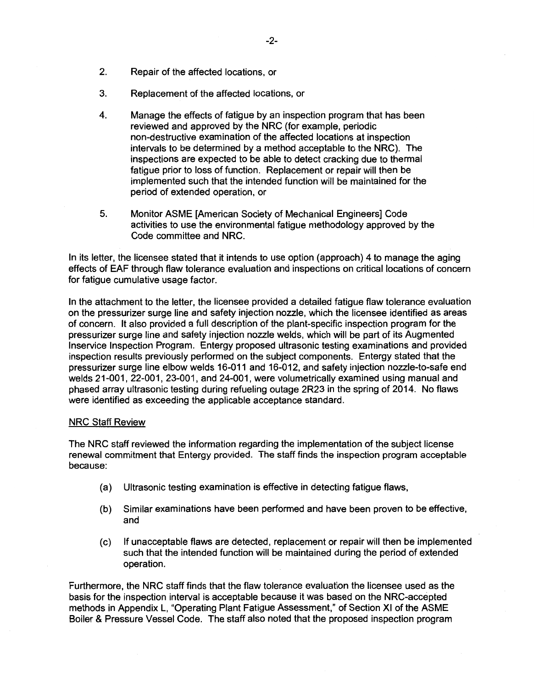- 2. Repair of the affected locations, or
- 3. Replacement of the affected locations, or
- 4. Manage the effects of fatigue by an inspection program that has been reviewed and approved by the NRC (for example, periodic non-destructive examination of the affected locations at inspection intervals to be determined by a method acceptable to the NRC). The inspections are expected to be able to detect cracking due to thermal fatigue prior to loss of function. Replacement or repair will then be implemented such that the intended function will be maintained for the period of extended operation, or
- 5. Monitor ASME [American Society of Mechanical Engineers] Code activities to use the environmental fatigue methodology approved by the Code committee and **NRC.**

In its letter, the licensee stated that it intends to use option (approach) 4 to manage the aging effects of EAF through flaw tolerance evaluation and inspections on critical locations of concern for fatigue cumulative usage factor.

In the attachment to the letter, the licensee provided a detailed fatigue flaw tolerance evaluation on the pressurizer surge line and safety injection nozzle, which the licensee identified as areas of concern. It also provided a full description of the plant-specific inspection program for the pressurizer surge line and safety injection nozzle welds, which will be part of its Augmented lnservice Inspection Program. Entergy proposed ultrasonic testing examinations and provided inspection results previously performed on the subject components. Entergy stated that the pressurizer surge line elbow welds 16-011 and 16-012, and safety injection nozzle-to-safe end welds 21-001, 22-001, 23-001, and 24-001, were volumetrically examined using manual and phased array ultrasonic testing during refueling outage 2R23 in the spring of 2014. No flaws were identified as exceeding the applicable acceptance standard.

## **NRC Staff Review**

The NRC staff reviewed the information regarding the implementation of the subject license renewal commitment that Entergy provided. The staff finds the inspection program acceptable because:

- (a) Ultrasonic testing examination is effective in detecting fatigue flaws,
- (b) Similar examinations have been performed and have been proven to be effective, and
- (c) If unacceptable flaws are detected, replacement or repair will then be implemented such that the intended function will be maintained during the period of extended operation.

Furthermore, the NRC staff finds that the flaw tolerance evaluation the licensee used as the basis for the inspection interval is acceptable because it was based on the NRC-accepted methods in Appendix L, "Operating Plant Fatigue Assessment," of Section XI of the ASME Boiler & Pressure Vessel Code. The staff also noted that the proposed inspection program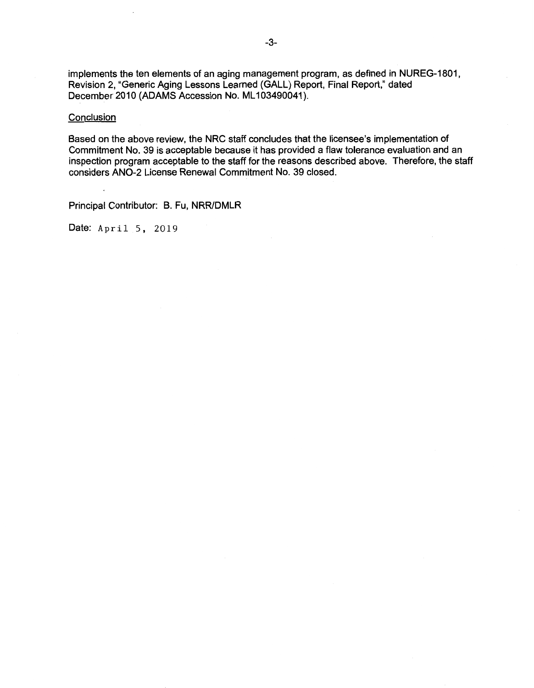implements the ten elements of an aging management program, as defined in NUREG-1801, Revision 2, "Generic Aging Lessons Learned (GALL) Report, Final Report," dated December 2010 (ADAMS Accession No. ML103490041).

#### **Conclusion**

Based on the above review, the NRC staff concludes that the licensee's implementation of Commitment No. 39 is acceptable because it has provided a flaw tolerance evaluation and an inspection program acceptable to the staff for the reasons described above. Therefore, the staff considers AN0-2 License Renewal Commitment No. 39 closed.

Principal Contributor: B. Fu, NRR/DMLR

Date: April 5, 2019